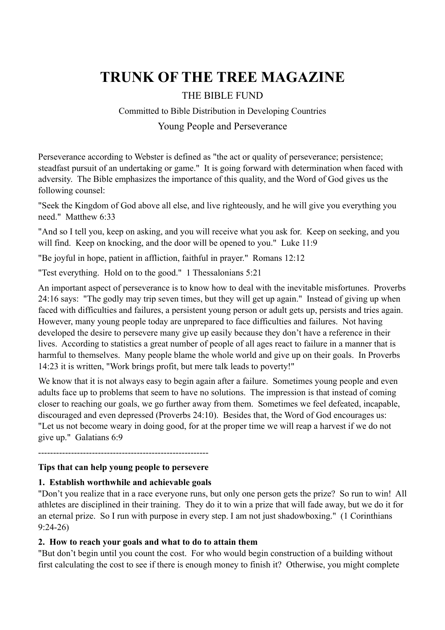# **TRUNK OF THE TREE MAGAZINE**

# THE BIBLE FUND

# Committed to Bible Distribution in Developing Countries

## Young People and Perseverance

Perseverance according to Webster is defined as "the act or quality of perseverance; persistence; steadfast pursuit of an undertaking or game." It is going forward with determination when faced with adversity. The Bible emphasizes the importance of this quality, and the Word of God gives us the following counsel:

"Seek the Kingdom of God above all else, and live righteously, and he will give you everything you need." Matthew 6:33

"And so I tell you, keep on asking, and you will receive what you ask for. Keep on seeking, and you will find. Keep on knocking, and the door will be opened to you." Luke 11:9

"Be joyful in hope, patient in affliction, faithful in prayer." Romans 12:12

"Test everything. Hold on to the good." 1 Thessalonians 5:21

An important aspect of perseverance is to know how to deal with the inevitable misfortunes. Proverbs 24:16 says: "The godly may trip seven times, but they will get up again." Instead of giving up when faced with difficulties and failures, a persistent young person or adult gets up, persists and tries again. However, many young people today are unprepared to face difficulties and failures. Not having developed the desire to persevere many give up easily because they don't have a reference in their lives. According to statistics a great number of people of all ages react to failure in a manner that is harmful to themselves. Many people blame the whole world and give up on their goals. In Proverbs 14:23 it is written, "Work brings profit, but mere talk leads to poverty!"

We know that it is not always easy to begin again after a failure. Sometimes young people and even adults face up to problems that seem to have no solutions. The impression is that instead of coming closer to reaching our goals, we go further away from them. Sometimes we feel defeated, incapable, discouraged and even depressed (Proverbs 24:10). Besides that, the Word of God encourages us: "Let us not become weary in doing good, for at the proper time we will reap a harvest if we do not give up." Galatians 6:9

---------------------------------------------------------

#### **Tips that can help young people to persevere**

#### **1. Establish worthwhile and achievable goals**

"Don't you realize that in a race everyone runs, but only one person gets the prize? So run to win! All athletes are disciplined in their training. They do it to win a prize that will fade away, but we do it for an eternal prize. So I run with purpose in every step. I am not just shadowboxing." (1 Corinthians 9:24-26)

#### **2. How to reach your goals and what to do to attain them**

"But don't begin until you count the cost. For who would begin construction of a building without first calculating the cost to see if there is enough money to finish it? Otherwise, you might complete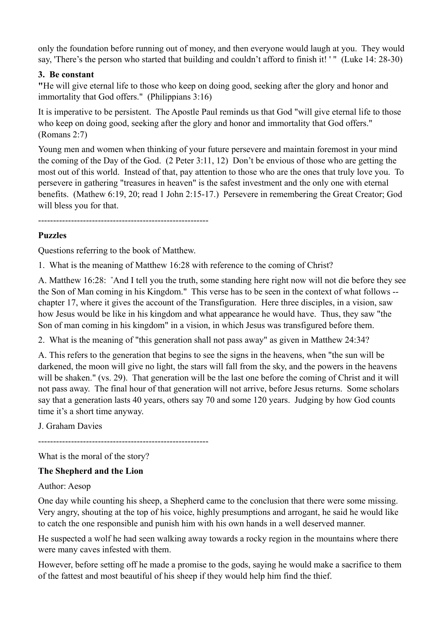only the foundation before running out of money, and then everyone would laugh at you. They would say, 'There's the person who started that building and couldn't afford to finish it! ' " (Luke 14: 28-30)

## **3. Be constant**

**"**He will give eternal life to those who keep on doing good, seeking after the glory and honor and immortality that God offers." (Philippians 3:16)

It is imperative to be persistent. The Apostle Paul reminds us that God "will give eternal life to those who keep on doing good, seeking after the glory and honor and immortality that God offers." (Romans 2:7)

Young men and women when thinking of your future persevere and maintain foremost in your mind the coming of the Day of the God. (2 Peter 3:11, 12) Don't be envious of those who are getting the most out of this world. Instead of that, pay attention to those who are the ones that truly love you. To persevere in gathering "treasures in heaven" is the safest investment and the only one with eternal benefits. (Mathew 6:19, 20; read 1 John 2:15-17.) Persevere in remembering the Great Creator; God will bless you for that.

---------------------------------------------------------

# **Puzzles**

Questions referring to the book of Matthew.

1. What is the meaning of Matthew 16:28 with reference to the coming of Christ?

A. Matthew 16:28: "And I tell you the truth, some standing here right now will not die before they see the Son of Man coming in his Kingdom." This verse has to be seen in the context of what follows - chapter 17, where it gives the account of the Transfiguration. Here three disciples, in a vision, saw how Jesus would be like in his kingdom and what appearance he would have. Thus, they saw "the Son of man coming in his kingdom" in a vision, in which Jesus was transfigured before them.

2. What is the meaning of "this generation shall not pass away" as given in Matthew 24:34?

A. This refers to the generation that begins to see the signs in the heavens, when "the sun will be darkened, the moon will give no light, the stars will fall from the sky, and the powers in the heavens will be shaken." (vs. 29). That generation will be the last one before the coming of Christ and it will not pass away. The final hour of that generation will not arrive, before Jesus returns. Some scholars say that a generation lasts 40 years, others say 70 and some 120 years. Judging by how God counts time it's a short time anyway.

J. Graham Davies

---------------------------------------------------------

What is the moral of the story?

#### **The Shepherd and the Lion**

#### Author: Aesop

One day while counting his sheep, a Shepherd came to the conclusion that there were some missing. Very angry, shouting at the top of his voice, highly presumptions and arrogant, he said he would like to catch the one responsible and punish him with his own hands in a well deserved manner.

He suspected a wolf he had seen walking away towards a rocky region in the mountains where there were many caves infested with them.

However, before setting off he made a promise to the gods, saying he would make a sacrifice to them of the fattest and most beautiful of his sheep if they would help him find the thief.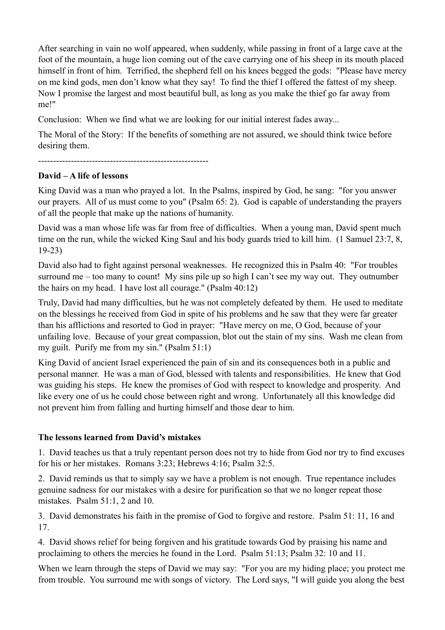After searching in vain no wolf appeared, when suddenly, while passing in front of a large cave at the foot of the mountain, a huge lion coming out of the cave carrying one of his sheep in its mouth placed himself in front of him. Terrified, the shepherd fell on his knees begged the gods: "Please have mercy on me kind gods, men don't know what they say! To find the thief I offered the fattest of my sheep. Now I promise the largest and most beautiful bull, as long as you make the thief go far away from me!"

Conclusion: When we find what we are looking for our initial interest fades away...

The Moral of the Story: If the benefits of something are not assured, we should think twice before desiring them.

---------------------------------------------------------

#### **David – A life of lessons**

King David was a man who prayed a lot. In the Psalms, inspired by God, he sang: "for you answer our prayers. All of us must come to you" (Psalm 65: 2). God is capable of understanding the prayers of all the people that make up the nations of humanity.

David was a man whose life was far from free of difficulties. When a young man, David spent much time on the run, while the wicked King Saul and his body guards tried to kill him. (1 Samuel 23:7, 8, 19-23)

David also had to fight against personal weaknesses. He recognized this in Psalm 40: "For troubles surround me – too many to count! My sins pile up so high I can't see my way out. They outnumber the hairs on my head. I have lost all courage." (Psalm 40:12)

Truly, David had many difficulties, but he was not completely defeated by them. He used to meditate on the blessings he received from God in spite of his problems and he saw that they were far greater than his afflictions and resorted to God in prayer: "Have mercy on me, O God, because of your unfailing love. Because of your great compassion, blot out the stain of my sins. Wash me clean from my guilt. Purify me from my sin." (Psalm 51:1)

King David of ancient Israel experienced the pain of sin and its consequences both in a public and personal manner. He was a man of God, blessed with talents and responsibilities. He knew that God was guiding his steps. He knew the promises of God with respect to knowledge and prosperity. And like every one of us he could chose between right and wrong. Unfortunately all this knowledge did not prevent him from falling and hurting himself and those dear to him.

#### **The lessons learned from David's mistakes**

1. David teaches us that a truly repentant person does not try to hide from God nor try to find excuses for his or her mistakes. Romans 3:23; Hebrews 4:16; Psalm 32:5.

2. David reminds us that to simply say we have a problem is not enough. True repentance includes genuine sadness for our mistakes with a desire for purification so that we no longer repeat those mistakes. Psalm 51:1, 2 and 10.

3. David demonstrates his faith in the promise of God to forgive and restore. Psalm 51: 11, 16 and 17.

4. David shows relief for being forgiven and his gratitude towards God by praising his name and proclaiming to others the mercies he found in the Lord. Psalm 51:13; Psalm 32: 10 and 11.

When we learn through the steps of David we may say: "For you are my hiding place; you protect me from trouble. You surround me with songs of victory. The Lord says, "I will guide you along the best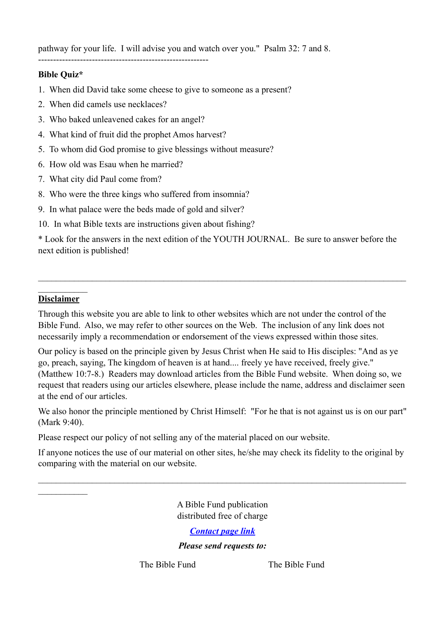pathway for your life. I will advise you and watch over you." Psalm 32: 7 and 8.

#### ---------------------------------------------------------

## **Bible Quiz\***

- 1. When did David take some cheese to give to someone as a present?
- 2. When did camels use necklaces?
- 3. Who baked unleavened cakes for an angel?
- 4. What kind of fruit did the prophet Amos harvest?
- 5. To whom did God promise to give blessings without measure?
- 6. How old was Esau when he married?
- 7. What city did Paul come from?
- 8. Who were the three kings who suffered from insomnia?
- 9. In what palace were the beds made of gold and silver?
- 10. In what Bible texts are instructions given about fishing?

\* Look for the answers in the next edition of the YOUTH JOURNAL. Be sure to answer before the next edition is published!

 $\mathcal{L}_\mathcal{L} = \{ \mathcal{L}_\mathcal{L} = \{ \mathcal{L}_\mathcal{L} = \{ \mathcal{L}_\mathcal{L} = \{ \mathcal{L}_\mathcal{L} = \{ \mathcal{L}_\mathcal{L} = \{ \mathcal{L}_\mathcal{L} = \{ \mathcal{L}_\mathcal{L} = \{ \mathcal{L}_\mathcal{L} = \{ \mathcal{L}_\mathcal{L} = \{ \mathcal{L}_\mathcal{L} = \{ \mathcal{L}_\mathcal{L} = \{ \mathcal{L}_\mathcal{L} = \{ \mathcal{L}_\mathcal{L} = \{ \mathcal{L}_\mathcal{$ 

#### $\mathcal{L}_\text{max}$ **Disclaimer**

 $\mathcal{L}_\text{max}$ 

Through this website you are able to link to other websites which are not under the control of the Bible Fund. Also, we may refer to other sources on the Web. The inclusion of any link does not necessarily imply a recommendation or endorsement of the views expressed within those sites.

Our policy is based on the principle given by Jesus Christ when He said to His disciples: "And as ye go, preach, saying, The kingdom of heaven is at hand.... freely ye have received, freely give." (Matthew 10:7-8.) Readers may download articles from the Bible Fund website. When doing so, we request that readers using our articles elsewhere, please include the name, address and disclaimer seen at the end of our articles.

We also honor the principle mentioned by Christ Himself: "For he that is not against us is on our part" (Mark 9:40).

Please respect our policy of not selling any of the material placed on our website.

If anyone notices the use of our material on other sites, he/she may check its fidelity to the original by comparing with the material on our website.

 $\mathcal{L}_\mathcal{L} = \{ \mathcal{L}_\mathcal{L} = \{ \mathcal{L}_\mathcal{L} = \{ \mathcal{L}_\mathcal{L} = \{ \mathcal{L}_\mathcal{L} = \{ \mathcal{L}_\mathcal{L} = \{ \mathcal{L}_\mathcal{L} = \{ \mathcal{L}_\mathcal{L} = \{ \mathcal{L}_\mathcal{L} = \{ \mathcal{L}_\mathcal{L} = \{ \mathcal{L}_\mathcal{L} = \{ \mathcal{L}_\mathcal{L} = \{ \mathcal{L}_\mathcal{L} = \{ \mathcal{L}_\mathcal{L} = \{ \mathcal{L}_\mathcal{$ 

A Bible Fund publication distributed free of charge

# *[Contact page link](http://www.thebiblefund.org/?page_id=33)*

# *Please send requests to:*

The Bible Fund The Bible Fund